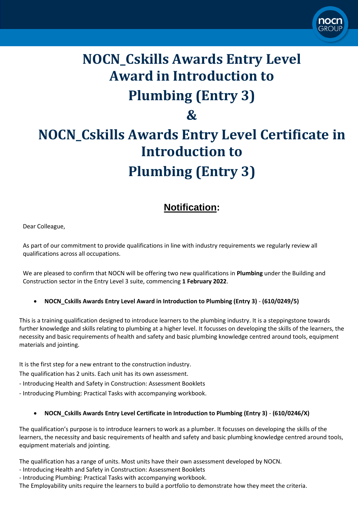

## **NOCN\_Cskills Awards Entry Level Award in Introduction to Plumbing (Entry 3) &**

# **NOCN\_Cskills Awards Entry Level Certificate in Introduction to Plumbing (Entry 3)**

## **Notification:**

Dear Colleague,

As part of our commitment to provide qualifications in line with industry requirements we regularly review all qualifications across all occupations.

We are pleased to confirm that NOCN will be offering two new qualifications in **Plumbing** under the Building and Construction sector in the Entry Level 3 suite, commencing **1 February 2022**.

### • **NOCN\_Cskills Awards Entry Level Award in Introduction to Plumbing (Entry 3)** - **(610/0249/5)**

This is a training qualification designed to introduce learners to the plumbing industry. It is a steppingstone towards further knowledge and skills relating to plumbing at a higher level. It focusses on developing the skills of the learners, the necessity and basic requirements of health and safety and basic plumbing knowledge centred around tools, equipment materials and jointing.

It is the first step for a new entrant to the construction industry.

The qualification has 2 units. Each unit has its own assessment.

- Introducing Health and Safety in Construction: Assessment Booklets

- Introducing Plumbing: Practical Tasks with accompanying workbook.

### • **NOCN\_Cskills Awards Entry Level Certificate in Introduction to Plumbing (Entry 3)** - **(610/0246/X)**

The qualification's purpose is to introduce learners to work as a plumber. It focusses on developing the skills of the learners, the necessity and basic requirements of health and safety and basic plumbing knowledge centred around tools, equipment materials and jointing.

The qualification has a range of units. Most units have their own assessment developed by NOCN.

- Introducing Health and Safety in Construction: Assessment Booklets

- Introducing Plumbing: Practical Tasks with accompanying workbook.

The Employability units require the learners to build a portfolio to demonstrate how they meet the criteria.